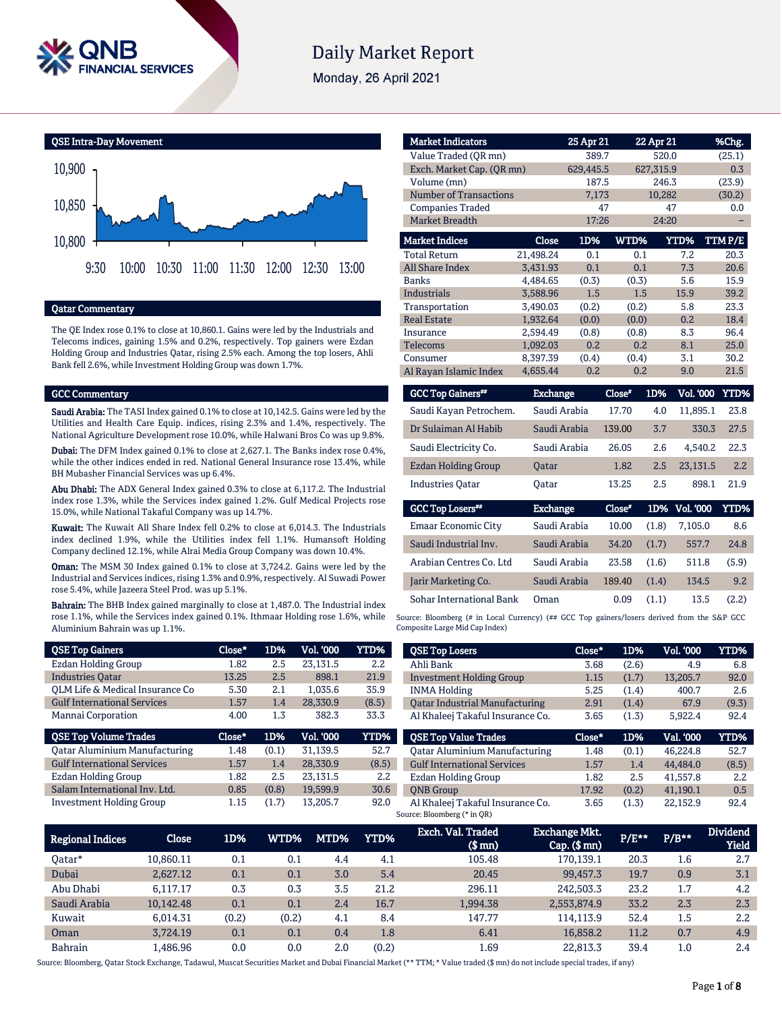

# **Daily Market Report**

Monday, 26 April 2021



# Qatar Commentary

The QE Index rose 0.1% to close at 10,860.1. Gains were led by the Industrials and Telecoms indices, gaining 1.5% and 0.2%, respectively. Top gainers were Ezdan Holding Group and Industries Qatar, rising 2.5% each. Among the top losers, Ahli Bank fell 2.6%, while Investment Holding Group was down 1.7%.

#### GCC Commentary

Saudi Arabia: The TASI Index gained 0.1% to close at 10,142.5. Gains were led by the Utilities and Health Care Equip. indices, rising 2.3% and 1.4%, respectively. The National Agriculture Development rose 10.0%, while Halwani Bros Co was up 9.8%.

Dubai: The DFM Index gained 0.1% to close at 2,627.1. The Banks index rose 0.4%, while the other indices ended in red. National General Insurance rose 13.4%, while BH Mubasher Financial Services was up 6.4%.

Abu Dhabi: The ADX General Index gained 0.3% to close at 6,117.2. The Industrial index rose 1.3%, while the Services index gained 1.2%. Gulf Medical Projects rose 15.0%, while National Takaful Company was up 14.7%.

Kuwait: The Kuwait All Share Index fell 0.2% to close at 6,014.3. The Industrials index declined 1.9%, while the Utilities index fell 1.1%. Humansoft Holding Company declined 12.1%, while Alrai Media Group Company was down 10.4%.

Oman: The MSM 30 Index gained 0.1% to close at 3,724.2. Gains were led by the Industrial and Services indices, rising 1.3% and 0.9%, respectively. Al Suwadi Power rose 5.4%, while Jazeera Steel Prod. was up 5.1%.

Bahrain: The BHB Index gained marginally to close at 1,487.0. The Industrial index rose 1.1%, while the Services index gained 0.1%. Ithmaar Holding rose 1.6%, while Aluminium Bahrain was up 1.1%.

| <b>QSE Top Gainers</b>               | Close* | 1D%   | Vol. '000        | YTD%        |
|--------------------------------------|--------|-------|------------------|-------------|
| Ezdan Holding Group                  | 1.82   | 2.5   | 23.131.5         | 2.2         |
| <b>Industries Oatar</b>              | 13.25  | 2.5   | 898.1            | 21.9        |
| OLM Life & Medical Insurance Co      | 5.30   | 2.1   | 1.035.6          | 35.9        |
| <b>Gulf International Services</b>   | 1.57   | 1.4   | 28,330.9         | (8.5)       |
| Mannai Corporation                   | 4.00   | 1.3   | 382.3            | 33.3        |
|                                      |        |       |                  |             |
| <b>QSE Top Volume Trades</b>         | Close* | 1D%   | <b>Vol. '000</b> | <b>YTD%</b> |
| <b>Qatar Aluminium Manufacturing</b> | 1.48   | (0.1) | 31.139.5         | 52.7        |
| <b>Gulf International Services</b>   | 1.57   | 1.4   | 28.330.9         | (8.5)       |
| Ezdan Holding Group                  | 1.82   | 2.5   | 23.131.5         | 2.2         |
| Salam International Inv. Ltd.        | 0.85   | (0.8) | 19.599.9         | 30.6        |

| <b>Market Indicators</b>      |           | 25 Apr 21 |       | 22 Apr 21 | %Chg.  |
|-------------------------------|-----------|-----------|-------|-----------|--------|
| Value Traded (OR mn)          |           |           |       |           | (25.1) |
| Exch. Market Cap. (OR mn)     |           | 629.445.5 |       | 627,315.9 | 0.3    |
| Volume (mn)                   |           | 187.5     |       | 246.3     | (23.9) |
| <b>Number of Transactions</b> |           | 7,173     |       | 10,282    | (30.2) |
| <b>Companies Traded</b>       |           | 47        |       | 47        | 0.0    |
| <b>Market Breadth</b>         |           | 17:26     |       | 24:20     |        |
| <b>Market Indices</b>         | Close     | 1D%       | WTD%  | YTD%      | TTMP/E |
| <b>Total Return</b>           | 21,498.24 | 0.1       | 0.1   | 7.2       | 20.3   |
| <b>All Share Index</b>        | 3,431.93  | 0.1       | 0.1   | 7.3       | 20.6   |
| <b>Banks</b>                  | 4,484.65  | (0.3)     | (0.3) | 5.6       | 15.9   |
| Industrials                   | 3,588.96  | 1.5       | 1.5   | 15.9      | 39.2   |
| Transportation                | 3,490.03  | (0.2)     | (0.2) | 5.8       | 23.3   |
| <b>Real Estate</b>            | 1,932.64  | (0.0)     | (0.0) | 0.2       | 18.4   |
| Insurance                     | 2,594.49  | (0.8)     | (0.8) | 8.3       | 96.4   |
| <b>Telecoms</b>               | 1,092.03  | 0.2       | 0.2   | 8.1       | 25.0   |
| Consumer                      | 8,397.39  | (0.4)     | (0.4) | 3.1       | 30.2   |
| Al Rayan Islamic Index        | 4.655.44  | 0.2       | 0.2   | 9.0       | 21.5   |

| <b>GCC Top Gainers**</b>   | <b>Exchange</b> | Close" | 1D% | Vol. '000 YTD% |      |
|----------------------------|-----------------|--------|-----|----------------|------|
| Saudi Kayan Petrochem.     | Saudi Arabia    | 17.70  | 4.0 | 11.895.1       | 23.8 |
| Dr Sulaiman Al Habib       | Saudi Arabia    | 139.00 | 3.7 | 330.3          | 27.5 |
| Saudi Electricity Co.      | Saudi Arabia    | 26.05  | 2.6 | 4.540.2        | 22.3 |
| <b>Ezdan Holding Group</b> | <b>Oatar</b>    | 1.82   | 2.5 | 23.131.5       | 2.2  |
| <b>Industries Oatar</b>    | Oatar           | 13.25  | 2.5 | 898.1          | 21.9 |

| <b>GCC Top Losers##</b>    | <b>Exchange</b> | Close" |       | 1D% Vol. '000 | YTD%  |
|----------------------------|-----------------|--------|-------|---------------|-------|
| <b>Emaar Economic City</b> | Saudi Arabia    | 10.00  | (1.8) | 7.105.0       | 8.6   |
| Saudi Industrial Inv.      | Saudi Arabia    | 34.20  | (1.7) | 557.7         | 24.8  |
| Arabian Centres Co. Ltd    | Saudi Arabia    | 23.58  | (1.6) | 511.8         | (5.9) |
| Jarir Marketing Co.        | Saudi Arabia    | 189.40 | (1.4) | 134.5         | 9.2   |
| Sohar International Bank   | Oman            | 0.09   | (1.1) | 13.5          | (2.2) |

Source: Bloomberg (# in Local Currency) (## GCC Top gainers/losers derived from the S&P GCC Composite Large Mid Cap Index)

| <b>QSE Top Losers</b>                                           | Close* | 1D%   | Vol. '000 | YTD%  |
|-----------------------------------------------------------------|--------|-------|-----------|-------|
| Ahli Bank                                                       | 3.68   | (2.6) | 4.9       | 6.8   |
| <b>Investment Holding Group</b>                                 | 1.15   | (1.7) | 13,205.7  | 92.0  |
| <b>INMA Holding</b>                                             | 5.25   | (1.4) | 400.7     | 2.6   |
| <b>Oatar Industrial Manufacturing</b>                           | 2.91   | (1.4) | 67.9      | (9.3) |
| Al Khaleej Takaful Insurance Co.                                | 3.65   | (1.3) | 5,922.4   | 92.4  |
| <b>OSE Top Value Trades</b>                                     | Close* | 1D%   | Val. 000  | YTD%  |
| <b>Qatar Aluminium Manufacturing</b>                            | 1.48   | (0.1) | 46.224.8  | 52.7  |
| <b>Gulf International Services</b>                              | 1.57   | 1.4   | 44.484.0  | (8.5) |
| Ezdan Holding Group                                             | 1.82   | 2.5   | 41.557.8  | 2.2   |
| <b>ONB</b> Group                                                | 17.92  | (0.2) | 41.190.1  | 0.5   |
| Al Khaleej Takaful Insurance Co.<br>Source: Bloomberg (* in QR) | 3.65   | (1.3) | 22.152.9  | 92.4  |

| <b>Regional Indices</b> | Close     | 1D%   | WTD%  | MTD% | YTD%  | Exch. Val. Traded<br>$$$ mm $)$ | <b>Exchange Mkt.</b><br>$Cap.$ (\$ $mn$ ) | P/E** | $P/B**$ | <b>Dividend</b><br><b>Yield</b> |
|-------------------------|-----------|-------|-------|------|-------|---------------------------------|-------------------------------------------|-------|---------|---------------------------------|
| Oatar*                  | 10.860.11 | 0.1   | 0.1   | 4.4  | 4.1   | 105.48                          | 170.139.1                                 | 20.3  | 1.6     | 2.7                             |
| Dubai                   | 2.627.12  | 0.1   | 0.1   | 3.0  | 5.4   | 20.45                           | 99.457.3                                  | 19.7  | 0.9     | 3.1                             |
| Abu Dhabi               | 6.117.17  | 0.3   | 0.3   | 3.5  | 21.2  | 296.11                          | 242,503.3                                 | 23.2  | 1.7     | 4.2                             |
| Saudi Arabia            | 10,142.48 | 0.1   | 0.1   | 2.4  | 16.7  | 1,994.38                        | 2,553,874.9                               | 33.2  | 2.3     | 2.3                             |
| Kuwait                  | 6.014.31  | (0.2) | (0.2) | 4.1  | 8.4   | 147.77                          | 114.113.9                                 | 52.4  | 1.5     | 2.2                             |
| Oman                    | 3.724.19  | 0.1   | 0.1   | 0.4  | 1.8   | 6.41                            | 16.858.2                                  | 11.2  | 0.7     | 4.9                             |
| <b>Bahrain</b>          | 1.486.96  | 0.0   | 0.0   | 2.0  | (0.2) | 1.69                            | 22.813.3                                  | 39.4  | 1.0     | 2.4                             |

Source: Bloomberg, Qatar Stock Exchange, Tadawul, Muscat Securities Market and Dubai Financial Market (\*\* TTM; \* Value traded (\$ mn) do not include special trades, if any)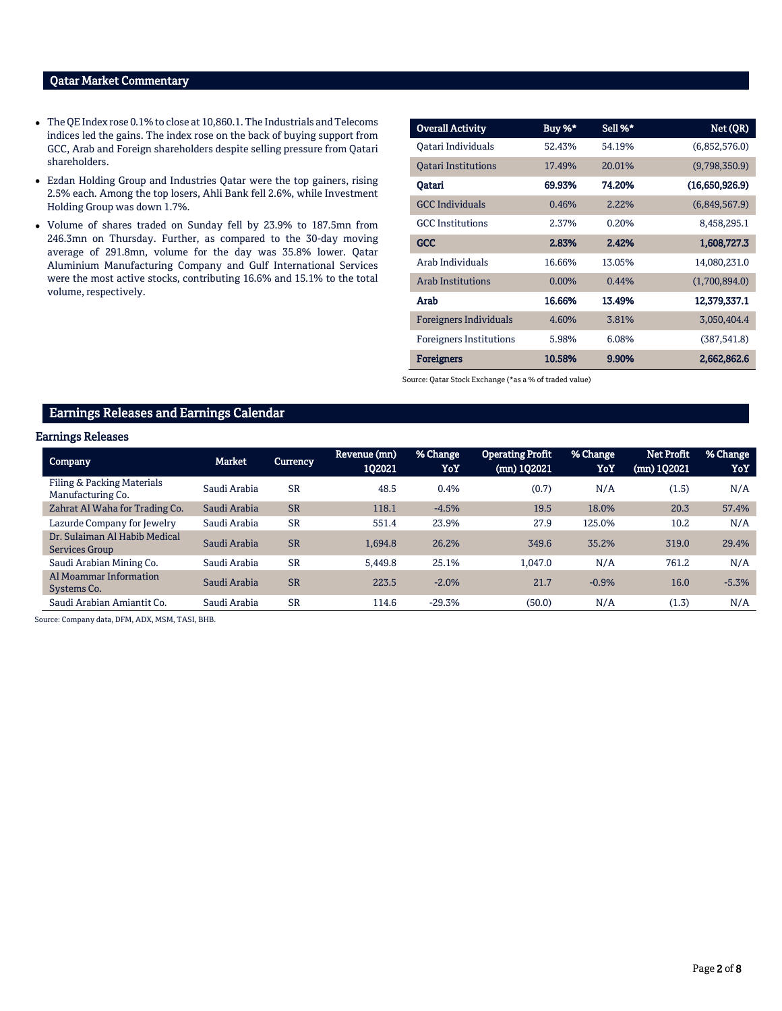### Qatar Market Commentary

- The QE Index rose 0.1% to close at 10,860.1. The Industrials and Telecoms indices led the gains. The index rose on the back of buying support from GCC, Arab and Foreign shareholders despite selling pressure from Qatari shareholders.
- Ezdan Holding Group and Industries Qatar were the top gainers, rising 2.5% each. Among the top losers, Ahli Bank fell 2.6%, while Investment Holding Group was down 1.7%.
- Volume of shares traded on Sunday fell by 23.9% to 187.5mn from 246.3mn on Thursday. Further, as compared to the 30-day moving average of 291.8mn, volume for the day was 35.8% lower. Qatar Aluminium Manufacturing Company and Gulf International Services were the most active stocks, contributing 16.6% and 15.1% to the total volume, respectively.

| <b>Overall Activity</b>        | Buy %* | Sell %* | Net (QR)       |
|--------------------------------|--------|---------|----------------|
| Oatari Individuals             | 52.43% | 54.19%  | (6,852,576.0)  |
| <b>Oatari Institutions</b>     | 17.49% | 20.01%  | (9,798,350.9)  |
| Oatari                         | 69.93% | 74.20%  | (16,650,926.9) |
| <b>GCC</b> Individuals         | 0.46%  | 2.22%   | (6,849,567.9)  |
| <b>GCC</b> Institutions        | 2.37%  | 0.20%   | 8,458,295.1    |
| <b>GCC</b>                     | 2.83%  | 2.42%   | 1,608,727.3    |
| Arab Individuals               | 16.66% | 13.05%  | 14,080,231.0   |
| <b>Arab Institutions</b>       | 0.00%  | 0.44%   | (1,700,894.0)  |
| Arab                           | 16.66% | 13.49%  | 12,379,337.1   |
| Foreigners Individuals         | 4.60%  | 3.81%   | 3,050,404.4    |
| <b>Foreigners Institutions</b> | 5.98%  | 6.08%   | (387, 541.8)   |
| <b>Foreigners</b>              | 10.58% | 9.90%   | 2,662,862.6    |

Source: Qatar Stock Exchange (\*as a % of traded value)

# Earnings Releases and Earnings Calendar

#### Earnings Releases

| <b>Company</b>                                  | Market       | Currency  | Revenue (mn)<br>102021 | % Change<br>YoY | <b>Operating Profit</b><br>$(mn)$ 102021 | % Change<br>YoY | Net Profit<br>(mn) 1Q2021 | % Change<br>YoY |
|-------------------------------------------------|--------------|-----------|------------------------|-----------------|------------------------------------------|-----------------|---------------------------|-----------------|
| Filing & Packing Materials<br>Manufacturing Co. | Saudi Arabia | <b>SR</b> | 48.5                   | 0.4%            | (0.7)                                    | N/A             | (1.5)                     | N/A             |
| Zahrat Al Waha for Trading Co.                  | Saudi Arabia | <b>SR</b> | 118.1                  | $-4.5%$         | 19.5                                     | 18.0%           | 20.3                      | 57.4%           |
| Lazurde Company for Jewelry                     | Saudi Arabia | <b>SR</b> | 551.4                  | 23.9%           | 27.9                                     | 125.0%          | 10.2                      | N/A             |
| Dr. Sulaiman Al Habib Medical<br>Services Group | Saudi Arabia | <b>SR</b> | 1.694.8                | 26.2%           | 349.6                                    | 35.2%           | 319.0                     | 29.4%           |
| Saudi Arabian Mining Co.                        | Saudi Arabia | <b>SR</b> | 5.449.8                | 25.1%           | 1.047.0                                  | N/A             | 761.2                     | N/A             |
| Al Moammar Information<br>Systems Co.           | Saudi Arabia | <b>SR</b> | 223.5                  | $-2.0%$         | 21.7                                     | $-0.9%$         | 16.0                      | $-5.3%$         |
| Saudi Arabian Amiantit Co.                      | Saudi Arabia | <b>SR</b> | 114.6                  | $-29.3%$        | (50.0)                                   | N/A             | (1.3)                     | N/A             |

Source: Company data, DFM, ADX, MSM, TASI, BHB.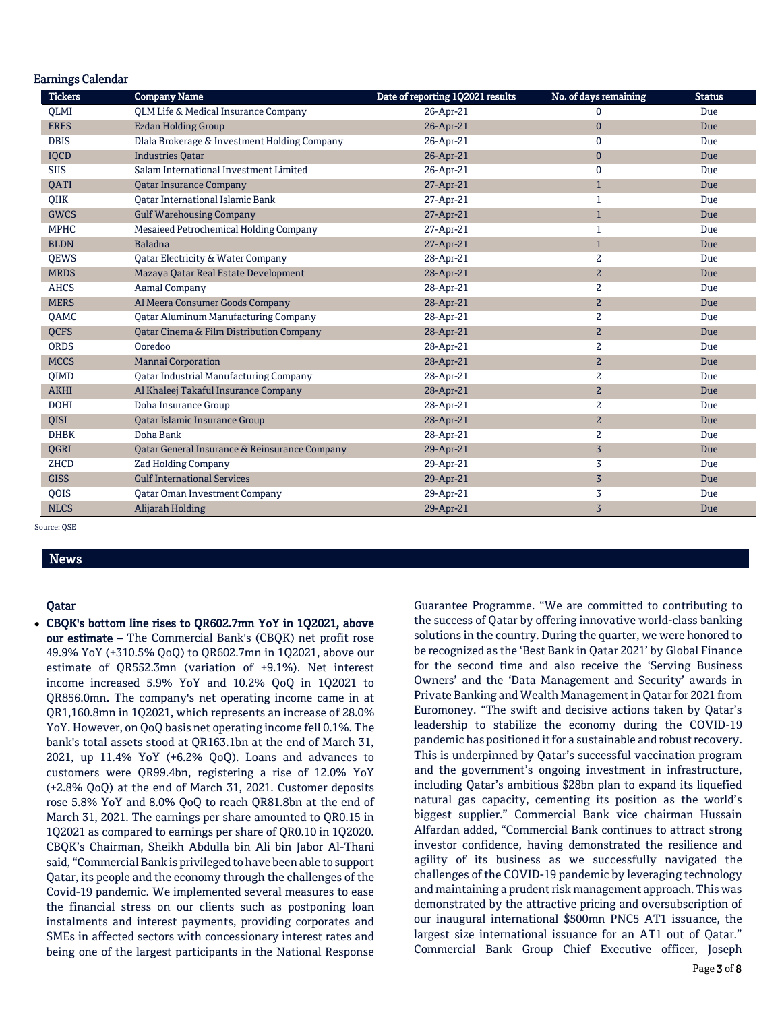| <b>Earnings Calendar</b> |                                               |                                  |                       |               |
|--------------------------|-----------------------------------------------|----------------------------------|-----------------------|---------------|
| <b>Tickers</b>           | <b>Company Name</b>                           | Date of reporting 1Q2021 results | No. of days remaining | <b>Status</b> |
| <b>OLMI</b>              | QLM Life & Medical Insurance Company          | 26-Apr-21                        | $\Omega$              | Due           |
| <b>ERES</b>              | <b>Ezdan Holding Group</b>                    | 26-Apr-21                        | $\mathbf{0}$          | <b>Due</b>    |
| <b>DBIS</b>              | Dlala Brokerage & Investment Holding Company  | 26-Apr-21                        | 0                     | Due           |
| <b>IQCD</b>              | <b>Industries Qatar</b>                       | 26-Apr-21                        | $\mathbf{0}$          | Due           |
| <b>SIIS</b>              | Salam International Investment Limited        | 26-Apr-21                        | 0                     | Due           |
| QATI                     | <b>Qatar Insurance Company</b>                | 27-Apr-21                        | $\mathbf{1}$          | <b>Due</b>    |
| QIIK                     | <b>Oatar International Islamic Bank</b>       | 27-Apr-21                        | 1                     | Due           |
| <b>GWCS</b>              | <b>Gulf Warehousing Company</b>               | 27-Apr-21                        | $\mathbf{1}$          | Due           |
| <b>MPHC</b>              | Mesaieed Petrochemical Holding Company        | 27-Apr-21                        | 1                     | Due           |
| <b>BLDN</b>              | <b>Baladna</b>                                | 27-Apr-21                        | $\mathbf{1}$          | Due           |
| QEWS                     | Qatar Electricity & Water Company             | 28-Apr-21                        | $\overline{2}$        | Due           |
| <b>MRDS</b>              | Mazaya Qatar Real Estate Development          | 28-Apr-21                        | $\mathbf{2}$          | Due           |
| <b>AHCS</b>              | <b>Aamal Company</b>                          | 28-Apr-21                        | $\overline{c}$        | Due           |
| <b>MERS</b>              | Al Meera Consumer Goods Company               | 28-Apr-21                        | $\overline{c}$        | Due           |
| QAMC                     | <b>Qatar Aluminum Manufacturing Company</b>   | 28-Apr-21                        | 2                     | Due           |
| <b>QCFS</b>              | Qatar Cinema & Film Distribution Company      | 28-Apr-21                        | $\overline{c}$        | Due           |
| <b>ORDS</b>              | Ooredoo                                       | 28-Apr-21                        | 2                     | Due           |
| <b>MCCS</b>              | <b>Mannai Corporation</b>                     | 28-Apr-21                        | $\overline{c}$        | Due           |
| QIMD                     | <b>Qatar Industrial Manufacturing Company</b> | 28-Apr-21                        | 2                     | Due           |
| <b>AKHI</b>              | Al Khaleej Takaful Insurance Company          | 28-Apr-21                        | $\overline{2}$        | Due           |
| <b>DOHI</b>              | Doha Insurance Group                          | 28-Apr-21                        | 2                     | Due           |
| <b>OISI</b>              | Qatar Islamic Insurance Group                 | 28-Apr-21                        | $\overline{2}$        | Due           |
| <b>DHBK</b>              | Doha Bank                                     | 28-Apr-21                        | 2                     | Due           |
| QGRI                     | Qatar General Insurance & Reinsurance Company | 29-Apr-21                        | $\overline{3}$        | Due           |
| ZHCD                     | <b>Zad Holding Company</b>                    | 29-Apr-21                        | 3                     | Due           |
| <b>GISS</b>              | <b>Gulf International Services</b>            | 29-Apr-21                        | $\overline{3}$        | Due           |
| QOIS                     | Qatar Oman Investment Company                 | 29-Apr-21                        | 3                     | Due           |
| <b>NLCS</b>              | Alijarah Holding                              | 29-Apr-21                        | $\overline{3}$        | Due           |

Source: QSE

# News

#### Qatar

 CBQK's bottom line rises to QR602.7mn YoY in 1Q2021, above our estimate – The Commercial Bank's (CBQK) net profit rose 49.9% YoY (+310.5% QoQ) to QR602.7mn in 1Q2021, above our estimate of QR552.3mn (variation of +9.1%). Net interest income increased 5.9% YoY and 10.2% QoQ in 1Q2021 to QR856.0mn. The company's net operating income came in at QR1,160.8mn in 1Q2021, which represents an increase of 28.0% YoY. However, on QoQ basis net operating income fell 0.1%. The bank's total assets stood at QR163.1bn at the end of March 31, 2021, up 11.4% YoY (+6.2% QoQ). Loans and advances to customers were QR99.4bn, registering a rise of 12.0% YoY (+2.8% QoQ) at the end of March 31, 2021. Customer deposits rose 5.8% YoY and 8.0% QoQ to reach QR81.8bn at the end of March 31, 2021. The earnings per share amounted to QR0.15 in 1Q2021 as compared to earnings per share of QR0.10 in 1Q2020. CBQK's Chairman, Sheikh Abdulla bin Ali bin Jabor Al-Thani said, "Commercial Bank is privileged to have been able to support Qatar, its people and the economy through the challenges of the Covid-19 pandemic. We implemented several measures to ease the financial stress on our clients such as postponing loan instalments and interest payments, providing corporates and SMEs in affected sectors with concessionary interest rates and being one of the largest participants in the National Response

Guarantee Programme. "We are committed to contributing to the success of Qatar by offering innovative world-class banking solutions in the country. During the quarter, we were honored to be recognized as the 'Best Bank in Qatar 2021' by Global Finance for the second time and also receive the 'Serving Business Owners' and the 'Data Management and Security' awards in Private Banking and Wealth Management in Qatar for 2021 from Euromoney. "The swift and decisive actions taken by Qatar's leadership to stabilize the economy during the COVID-19 pandemic has positioned it for a sustainable and robust recovery. This is underpinned by Qatar's successful vaccination program and the government's ongoing investment in infrastructure, including Qatar's ambitious \$28bn plan to expand its liquefied natural gas capacity, cementing its position as the world's biggest supplier." Commercial Bank vice chairman Hussain Alfardan added, "Commercial Bank continues to attract strong investor confidence, having demonstrated the resilience and agility of its business as we successfully navigated the challenges of the COVID-19 pandemic by leveraging technology and maintaining a prudent risk management approach. This was demonstrated by the attractive pricing and oversubscription of our inaugural international \$500mn PNC5 AT1 issuance, the largest size international issuance for an AT1 out of Qatar." Commercial Bank Group Chief Executive officer, Joseph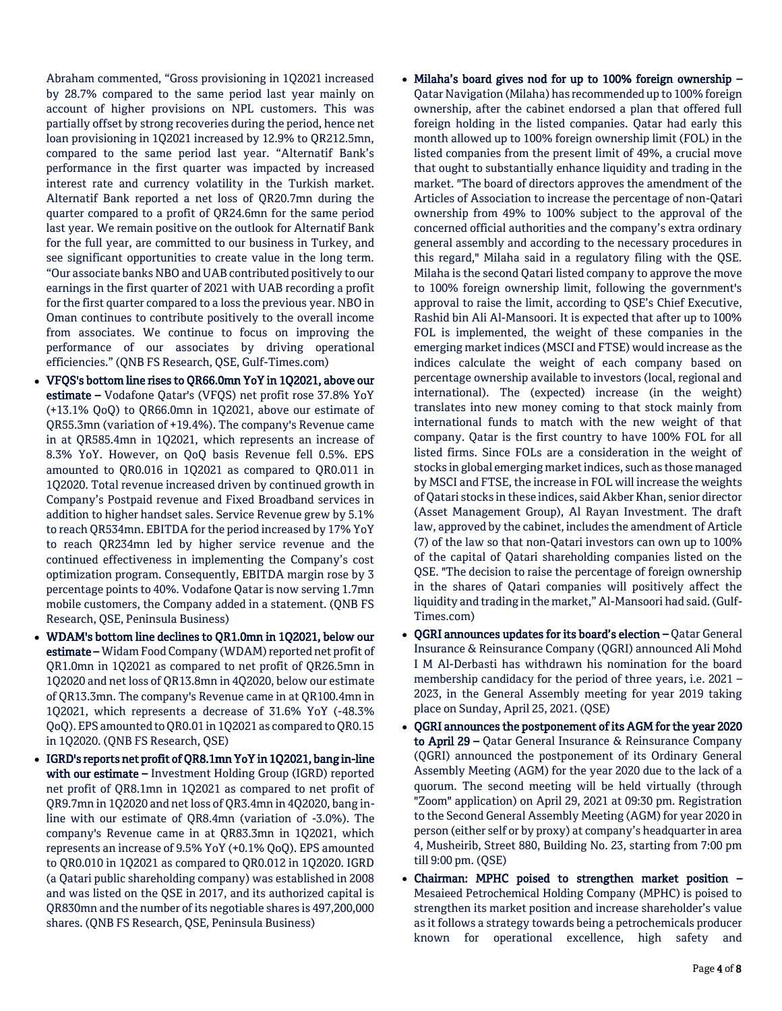Abraham commented, "Gross provisioning in 1Q2021 increased by 28.7% compared to the same period last year mainly on account of higher provisions on NPL customers. This was partially offset by strong recoveries during the period, hence net loan provisioning in 1Q2021 increased by 12.9% to QR212.5mn, compared to the same period last year. "Alternatif Bank's performance in the first quarter was impacted by increased interest rate and currency volatility in the Turkish market. Alternatif Bank reported a net loss of QR20.7mn during the quarter compared to a profit of QR24.6mn for the same period last year. We remain positive on the outlook for Alternatif Bank for the full year, are committed to our business in Turkey, and see significant opportunities to create value in the long term. "Our associate banks NBO and UAB contributed positively to our earnings in the first quarter of 2021 with UAB recording a profit for the first quarter compared to a loss the previous year. NBO in Oman continues to contribute positively to the overall income from associates. We continue to focus on improving the performance of our associates by driving operational efficiencies." (QNB FS Research, QSE, Gulf-Times.com)

- VFQS's bottom line rises to QR66.0mn YoY in 1Q2021, above our estimate – Vodafone Qatar's (VFQS) net profit rose 37.8% YoY (+13.1% QoQ) to QR66.0mn in 1Q2021, above our estimate of QR55.3mn (variation of +19.4%). The company's Revenue came in at QR585.4mn in 1Q2021, which represents an increase of 8.3% YoY. However, on QoQ basis Revenue fell 0.5%. EPS amounted to QR0.016 in 1Q2021 as compared to QR0.011 in 1Q2020. Total revenue increased driven by continued growth in Company's Postpaid revenue and Fixed Broadband services in addition to higher handset sales. Service Revenue grew by 5.1% to reach QR534mn. EBITDA for the period increased by 17% YoY to reach QR234mn led by higher service revenue and the continued effectiveness in implementing the Company's cost optimization program. Consequently, EBITDA margin rose by 3 percentage points to 40%. Vodafone Qatar is now serving 1.7mn mobile customers, the Company added in a statement. (QNB FS Research, QSE, Peninsula Business)
- WDAM's bottom line declines to QR1.0mn in 1Q2021, below our estimate – Widam Food Company (WDAM) reported net profit of QR1.0mn in 1Q2021 as compared to net profit of QR26.5mn in 1Q2020 and net loss of QR13.8mn in 4Q2020, below our estimate of QR13.3mn. The company's Revenue came in at QR100.4mn in 1Q2021, which represents a decrease of 31.6% YoY (-48.3% QoQ). EPS amounted to QR0.01 in 1Q2021 as compared to QR0.15 in 1Q2020. (QNB FS Research, QSE)
- IGRD's reports net profit of QR8.1mn YoY in 1Q2021, bang in-line with our estimate – Investment Holding Group (IGRD) reported net profit of QR8.1mn in 1Q2021 as compared to net profit of QR9.7mn in 1Q2020 and net loss of QR3.4mn in 4Q2020, bang inline with our estimate of QR8.4mn (variation of -3.0%). The company's Revenue came in at QR83.3mn in 1Q2021, which represents an increase of 9.5% YoY (+0.1% QoQ). EPS amounted to QR0.010 in 1Q2021 as compared to QR0.012 in 1Q2020. IGRD (a Qatari public shareholding company) was established in 2008 and was listed on the QSE in 2017, and its authorized capital is QR830mn and the number of its negotiable shares is 497,200,000 shares. (QNB FS Research, QSE, Peninsula Business)
- Milaha's board gives nod for up to 100% foreign ownership Qatar Navigation (Milaha) has recommended up to 100% foreign ownership, after the cabinet endorsed a plan that offered full foreign holding in the listed companies. Qatar had early this month allowed up to 100% foreign ownership limit (FOL) in the listed companies from the present limit of 49%, a crucial move that ought to substantially enhance liquidity and trading in the market. "The board of directors approves the amendment of the Articles of Association to increase the percentage of non-Qatari ownership from 49% to 100% subject to the approval of the concerned official authorities and the company's extra ordinary general assembly and according to the necessary procedures in this regard," Milaha said in a regulatory filing with the QSE. Milaha is the second Qatari listed company to approve the move to 100% foreign ownership limit, following the government's approval to raise the limit, according to QSE's Chief Executive, Rashid bin Ali Al-Mansoori. It is expected that after up to 100% FOL is implemented, the weight of these companies in the emerging market indices (MSCI and FTSE) would increase as the indices calculate the weight of each company based on percentage ownership available to investors (local, regional and international). The (expected) increase (in the weight) translates into new money coming to that stock mainly from international funds to match with the new weight of that company. Qatar is the first country to have 100% FOL for all listed firms. Since FOLs are a consideration in the weight of stocks in global emerging market indices, such as those managed by MSCI and FTSE, the increase in FOL will increase the weights of Qatari stocks in these indices, said Akber Khan, senior director (Asset Management Group), Al Rayan Investment. The draft law, approved by the cabinet, includes the amendment of Article (7) of the law so that non-Qatari investors can own up to 100% of the capital of Qatari shareholding companies listed on the QSE. "The decision to raise the percentage of foreign ownership in the shares of Qatari companies will positively affect the liquidity and trading in the market," Al-Mansoori had said. (Gulf-Times.com)
- QGRI announces updates for its board's election Qatar General Insurance & Reinsurance Company (QGRI) announced Ali Mohd I M Al-Derbasti has withdrawn his nomination for the board membership candidacy for the period of three years, i.e. 2021 – 2023, in the General Assembly meeting for year 2019 taking place on Sunday, April 25, 2021. (QSE)
- QGRI announces the postponement of its AGM for the year 2020 to April 29 – Qatar General Insurance & Reinsurance Company (QGRI) announced the postponement of its Ordinary General Assembly Meeting (AGM) for the year 2020 due to the lack of a quorum. The second meeting will be held virtually (through "Zoom" application) on April 29, 2021 at 09:30 pm. Registration to the Second General Assembly Meeting (AGM) for year 2020 in person (either self or by proxy) at company's headquarter in area 4, Musheirib, Street 880, Building No. 23, starting from 7:00 pm till 9:00 pm. (QSE)
- Chairman: MPHC poised to strengthen market position Mesaieed Petrochemical Holding Company (MPHC) is poised to strengthen its market position and increase shareholder's value as it follows a strategy towards being a petrochemicals producer known for operational excellence, high safety and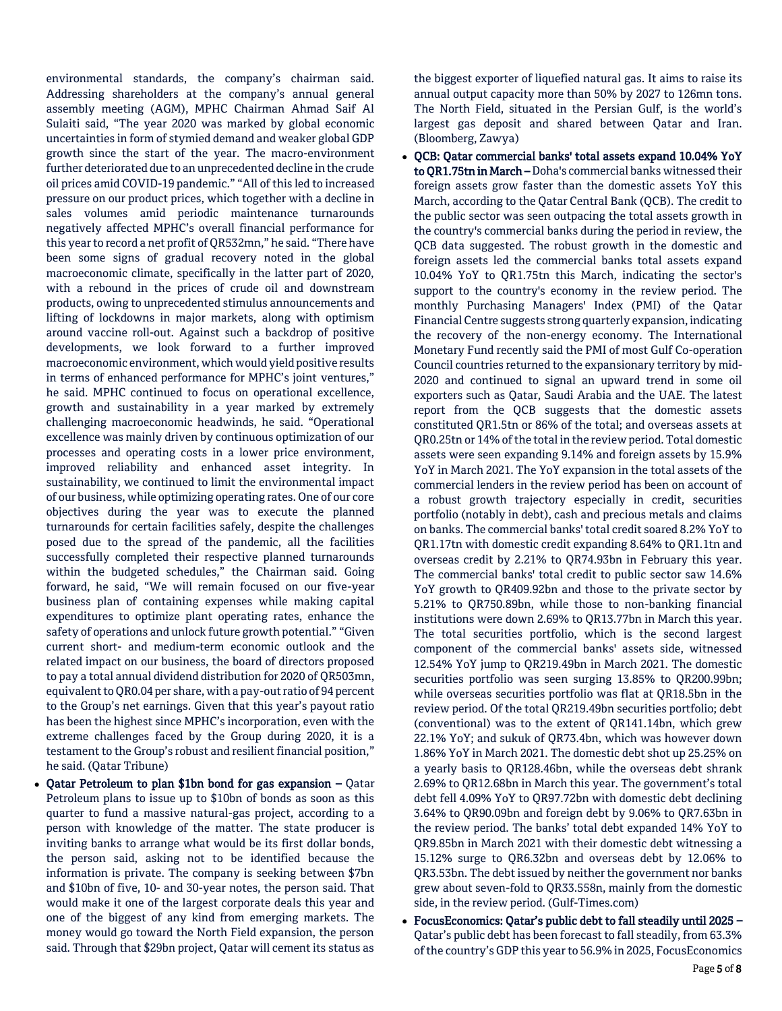environmental standards, the company's chairman said. Addressing shareholders at the company's annual general assembly meeting (AGM), MPHC Chairman Ahmad Saif Al Sulaiti said, "The year 2020 was marked by global economic uncertainties in form of stymied demand and weaker global GDP growth since the start of the year. The macro-environment further deteriorated due to an unprecedented decline in the crude oil prices amid COVID-19 pandemic." "All of this led to increased pressure on our product prices, which together with a decline in sales volumes amid periodic maintenance turnarounds negatively affected MPHC's overall financial performance for this year to record a net profit of QR532mn," he said. "There have been some signs of gradual recovery noted in the global macroeconomic climate, specifically in the latter part of 2020, with a rebound in the prices of crude oil and downstream products, owing to unprecedented stimulus announcements and lifting of lockdowns in major markets, along with optimism around vaccine roll-out. Against such a backdrop of positive developments, we look forward to a further improved macroeconomic environment, which would yield positive results in terms of enhanced performance for MPHC's joint ventures," he said. MPHC continued to focus on operational excellence, growth and sustainability in a year marked by extremely challenging macroeconomic headwinds, he said. "Operational excellence was mainly driven by continuous optimization of our processes and operating costs in a lower price environment, improved reliability and enhanced asset integrity. In sustainability, we continued to limit the environmental impact of our business, while optimizing operating rates. One of our core objectives during the year was to execute the planned turnarounds for certain facilities safely, despite the challenges posed due to the spread of the pandemic, all the facilities successfully completed their respective planned turnarounds within the budgeted schedules," the Chairman said. Going forward, he said, "We will remain focused on our five-year business plan of containing expenses while making capital expenditures to optimize plant operating rates, enhance the safety of operations and unlock future growth potential." "Given current short- and medium-term economic outlook and the related impact on our business, the board of directors proposed to pay a total annual dividend distribution for 2020 of QR503mn, equivalent to QR0.04 per share, with a pay-out ratio of 94 percent to the Group's net earnings. Given that this year's payout ratio has been the highest since MPHC's incorporation, even with the extreme challenges faced by the Group during 2020, it is a testament to the Group's robust and resilient financial position," he said. (Qatar Tribune)

 Qatar Petroleum to plan \$1bn bond for gas expansion – Qatar Petroleum plans to issue up to \$10bn of bonds as soon as this quarter to fund a massive natural-gas project, according to a person with knowledge of the matter. The state producer is inviting banks to arrange what would be its first dollar bonds, the person said, asking not to be identified because the information is private. The company is seeking between \$7bn and \$10bn of five, 10- and 30-year notes, the person said. That would make it one of the largest corporate deals this year and one of the biggest of any kind from emerging markets. The money would go toward the North Field expansion, the person said. Through that \$29bn project, Qatar will cement its status as

the biggest exporter of liquefied natural gas. It aims to raise its annual output capacity more than 50% by 2027 to 126mn tons. The North Field, situated in the Persian Gulf, is the world's largest gas deposit and shared between Qatar and Iran. (Bloomberg, Zawya)

 QCB: Qatar commercial banks' total assets expand 10.04% YoY to QR1.75tn in March – Doha's commercial banks witnessed their foreign assets grow faster than the domestic assets YoY this March, according to the Qatar Central Bank (QCB). The credit to the public sector was seen outpacing the total assets growth in the country's commercial banks during the period in review, the QCB data suggested. The robust growth in the domestic and foreign assets led the commercial banks total assets expand 10.04% YoY to QR1.75tn this March, indicating the sector's support to the country's economy in the review period. The monthly Purchasing Managers' Index (PMI) of the Qatar Financial Centre suggests strong quarterly expansion, indicating the recovery of the non-energy economy. The International Monetary Fund recently said the PMI of most Gulf Co-operation Council countries returned to the expansionary territory by mid-2020 and continued to signal an upward trend in some oil exporters such as Qatar, Saudi Arabia and the UAE. The latest report from the QCB suggests that the domestic assets constituted QR1.5tn or 86% of the total; and overseas assets at QR0.25tn or 14% of the total in the review period. Total domestic assets were seen expanding 9.14% and foreign assets by 15.9% YoY in March 2021. The YoY expansion in the total assets of the commercial lenders in the review period has been on account of a robust growth trajectory especially in credit, securities portfolio (notably in debt), cash and precious metals and claims on banks. The commercial banks' total credit soared 8.2% YoY to QR1.17tn with domestic credit expanding 8.64% to QR1.1tn and overseas credit by 2.21% to QR74.93bn in February this year. The commercial banks' total credit to public sector saw 14.6% YoY growth to QR409.92bn and those to the private sector by 5.21% to QR750.89bn, while those to non-banking financial institutions were down 2.69% to QR13.77bn in March this year. The total securities portfolio, which is the second largest component of the commercial banks' assets side, witnessed 12.54% YoY jump to QR219.49bn in March 2021. The domestic securities portfolio was seen surging 13.85% to QR200.99bn; while overseas securities portfolio was flat at QR18.5bn in the review period. Of the total QR219.49bn securities portfolio; debt (conventional) was to the extent of QR141.14bn, which grew 22.1% YoY; and sukuk of QR73.4bn, which was however down 1.86% YoY in March 2021. The domestic debt shot up 25.25% on a yearly basis to QR128.46bn, while the overseas debt shrank 2.69% to QR12.68bn in March this year. The government's total debt fell 4.09% YoY to QR97.72bn with domestic debt declining 3.64% to QR90.09bn and foreign debt by 9.06% to QR7.63bn in the review period. The banks' total debt expanded 14% YoY to QR9.85bn in March 2021 with their domestic debt witnessing a 15.12% surge to QR6.32bn and overseas debt by 12.06% to QR3.53bn. The debt issued by neither the government nor banks grew about seven-fold to QR33.558n, mainly from the domestic side, in the review period. (Gulf-Times.com)

 FocusEconomics: Qatar's public debt to fall steadily until 2025 – Qatar's public debt has been forecast to fall steadily, from 63.3% of the country's GDP this year to 56.9% in 2025, FocusEconomics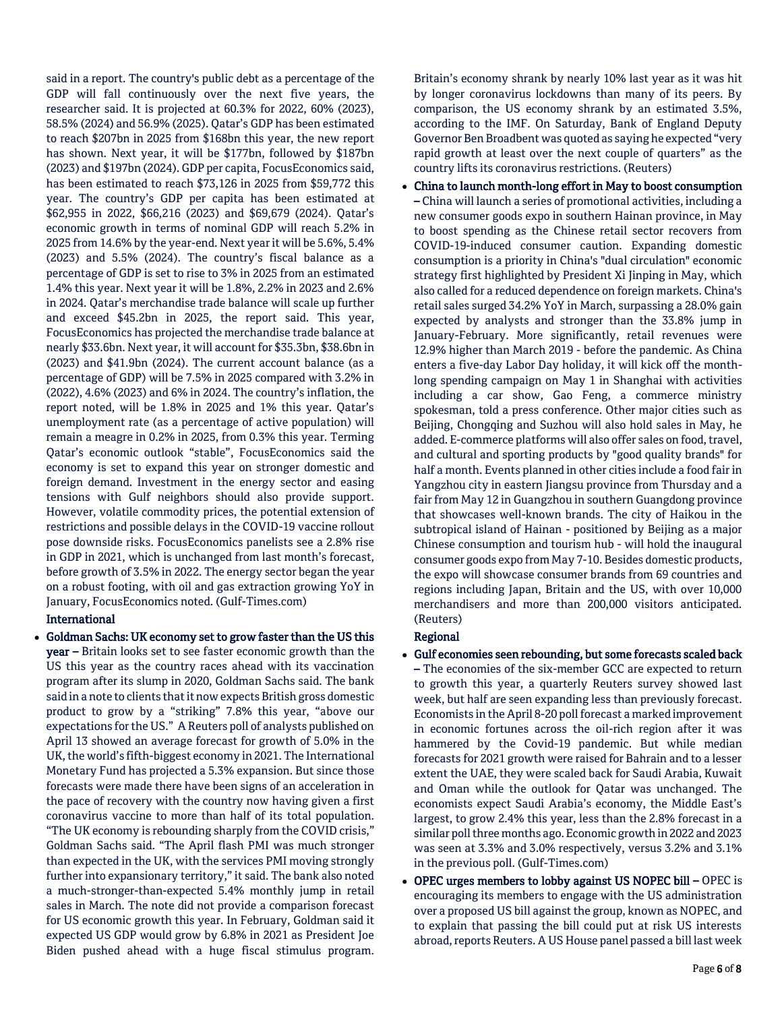said in a report. The country's public debt as a percentage of the GDP will fall continuously over the next five years, the researcher said. It is projected at 60.3% for 2022, 60% (2023), 58.5% (2024) and 56.9% (2025). Qatar's GDP has been estimated to reach \$207bn in 2025 from \$168bn this year, the new report has shown. Next year, it will be \$177bn, followed by \$187bn (2023) and \$197bn (2024). GDP per capita, FocusEconomics said, has been estimated to reach \$73,126 in 2025 from \$59,772 this year. The country's GDP per capita has been estimated at \$62,955 in 2022, \$66,216 (2023) and \$69,679 (2024). Qatar's economic growth in terms of nominal GDP will reach 5.2% in 2025 from 14.6% by the year-end. Next year it will be 5.6%, 5.4% (2023) and 5.5% (2024). The country's fiscal balance as a percentage of GDP is set to rise to 3% in 2025 from an estimated 1.4% this year. Next year it will be 1.8%, 2.2% in 2023 and 2.6% in 2024. Qatar's merchandise trade balance will scale up further and exceed \$45.2bn in 2025, the report said. This year, FocusEconomics has projected the merchandise trade balance at nearly \$33.6bn. Next year, it will account for \$35.3bn, \$38.6bn in (2023) and \$41.9bn (2024). The current account balance (as a percentage of GDP) will be 7.5% in 2025 compared with 3.2% in (2022), 4.6% (2023) and 6% in 2024. The country's inflation, the report noted, will be 1.8% in 2025 and 1% this year. Qatar's unemployment rate (as a percentage of active population) will remain a meagre in 0.2% in 2025, from 0.3% this year. Terming Qatar's economic outlook "stable", FocusEconomics said the economy is set to expand this year on stronger domestic and foreign demand. Investment in the energy sector and easing tensions with Gulf neighbors should also provide support. However, volatile commodity prices, the potential extension of restrictions and possible delays in the COVID-19 vaccine rollout pose downside risks. FocusEconomics panelists see a 2.8% rise in GDP in 2021, which is unchanged from last month's forecast, before growth of 3.5% in 2022. The energy sector began the year on a robust footing, with oil and gas extraction growing YoY in January, FocusEconomics noted. (Gulf-Times.com)

### International

 Goldman Sachs: UK economy set to grow faster than the US this year – Britain looks set to see faster economic growth than the US this year as the country races ahead with its vaccination program after its slump in 2020, Goldman Sachs said. The bank said in a note to clients that it now expects British gross domestic product to grow by a "striking" 7.8% this year, "above our expectations for the US." A Reuters poll of analysts published on April 13 showed an average forecast for growth of 5.0% in the UK, the world's fifth-biggest economy in 2021. The International Monetary Fund has projected a 5.3% expansion. But since those forecasts were made there have been signs of an acceleration in the pace of recovery with the country now having given a first coronavirus vaccine to more than half of its total population. "The UK economy is rebounding sharply from the COVID crisis," Goldman Sachs said. "The April flash PMI was much stronger than expected in the UK, with the services PMI moving strongly further into expansionary territory," it said. The bank also noted a much-stronger-than-expected 5.4% monthly jump in retail sales in March. The note did not provide a comparison forecast for US economic growth this year. In February, Goldman said it expected US GDP would grow by 6.8% in 2021 as President Joe Biden pushed ahead with a huge fiscal stimulus program.

Britain's economy shrank by nearly 10% last year as it was hit by longer coronavirus lockdowns than many of its peers. By comparison, the US economy shrank by an estimated 3.5%, according to the IMF. On Saturday, Bank of England Deputy Governor Ben Broadbent was quoted as saying he expected "very rapid growth at least over the next couple of quarters" as the country lifts its coronavirus restrictions. (Reuters)

 China to launch month-long effort in May to boost consumption – China will launch a series of promotional activities, including a new consumer goods expo in southern Hainan province, in May to boost spending as the Chinese retail sector recovers from COVID-19-induced consumer caution. Expanding domestic consumption is a priority in China's "dual circulation" economic strategy first highlighted by President Xi Jinping in May, which also called for a reduced dependence on foreign markets. China's retail sales surged 34.2% YoY in March, surpassing a 28.0% gain expected by analysts and stronger than the 33.8% jump in January-February. More significantly, retail revenues were 12.9% higher than March 2019 - before the pandemic. As China enters a five-day Labor Day holiday, it will kick off the monthlong spending campaign on May 1 in Shanghai with activities including a car show, Gao Feng, a commerce ministry spokesman, told a press conference. Other major cities such as Beijing, Chongqing and Suzhou will also hold sales in May, he added. E-commerce platforms will also offer sales on food, travel, and cultural and sporting products by "good quality brands" for half a month. Events planned in other cities include a food fair in Yangzhou city in eastern Jiangsu province from Thursday and a fair from May 12 in Guangzhou in southern Guangdong province that showcases well-known brands. The city of Haikou in the subtropical island of Hainan - positioned by Beijing as a major Chinese consumption and tourism hub - will hold the inaugural consumer goods expo from May 7-10. Besides domestic products, the expo will showcase consumer brands from 69 countries and regions including Japan, Britain and the US, with over 10,000 merchandisers and more than 200,000 visitors anticipated. (Reuters)

# Regional

- Gulf economies seen rebounding, but some forecasts scaled back
- The economies of the six-member GCC are expected to return to growth this year, a quarterly Reuters survey showed last week, but half are seen expanding less than previously forecast. Economists in the April 8-20 poll forecast a marked improvement in economic fortunes across the oil-rich region after it was hammered by the Covid-19 pandemic. But while median forecasts for 2021 growth were raised for Bahrain and to a lesser extent the UAE, they were scaled back for Saudi Arabia, Kuwait and Oman while the outlook for Qatar was unchanged. The economists expect Saudi Arabia's economy, the Middle East's largest, to grow 2.4% this year, less than the 2.8% forecast in a similar poll three months ago. Economic growth in 2022 and 2023 was seen at 3.3% and 3.0% respectively, versus 3.2% and 3.1% in the previous poll. (Gulf-Times.com)
- OPEC urges members to lobby against US NOPEC bill OPEC is encouraging its members to engage with the US administration over a proposed US bill against the group, known as NOPEC, and to explain that passing the bill could put at risk US interests abroad, reports Reuters. A US House panel passed a bill last week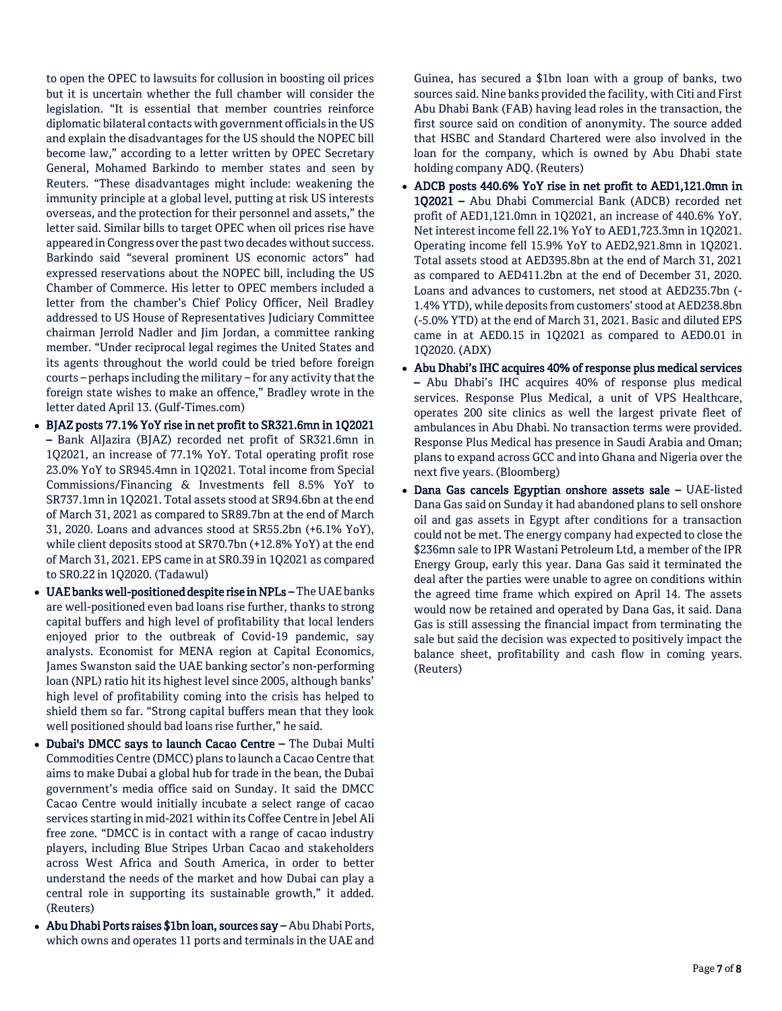to open the OPEC to lawsuits for collusion in boosting oil prices but it is uncertain whether the full chamber will consider the legislation. "It is essential that member countries reinforce diplomatic bilateral contacts with government officials in the US and explain the disadvantages for the US should the NOPEC bill become law," according to a letter written by OPEC Secretary General, Mohamed Barkindo to member states and seen by Reuters. "These disadvantages might include: weakening the immunity principle at a global level, putting at risk US interests overseas, and the protection for their personnel and assets," the letter said. Similar bills to target OPEC when oil prices rise have appeared in Congress over the past two decades without success. Barkindo said "several prominent US economic actors" had expressed reservations about the NOPEC bill, including the US Chamber of Commerce. His letter to OPEC members included a letter from the chamber's Chief Policy Officer, Neil Bradley addressed to US House of Representatives Judiciary Committee chairman Jerrold Nadler and Jim Jordan, a committee ranking member. "Under reciprocal legal regimes the United States and its agents throughout the world could be tried before foreign courts – perhaps including the military – for any activity that the foreign state wishes to make an offence," Bradley wrote in the letter dated April 13. (Gulf-Times.com)

- BJAZ posts 77.1% YoY rise in net profit to SR321.6mn in 1Q2021 – Bank AlJazira (BJAZ) recorded net profit of SR321.6mn in 1Q2021, an increase of 77.1% YoY. Total operating profit rose 23.0% YoY to SR945.4mn in 1Q2021. Total income from Special Commissions/Financing & Investments fell 8.5% YoY to SR737.1mn in 1Q2021. Total assets stood at SR94.6bn at the end of March 31, 2021 as compared to SR89.7bn at the end of March 31, 2020. Loans and advances stood at SR55.2bn (+6.1% YoY), while client deposits stood at SR70.7bn (+12.8% YoY) at the end of March 31, 2021. EPS came in at SR0.39 in 1Q2021 as compared to SR0.22 in 1Q2020. (Tadawul)
- UAE banks well-positioned despite rise in NPLs The UAE banks are well-positioned even bad loans rise further, thanks to strong capital buffers and high level of profitability that local lenders enjoyed prior to the outbreak of Covid-19 pandemic, say analysts. Economist for MENA region at Capital Economics, James Swanston said the UAE banking sector's non-performing loan (NPL) ratio hit its highest level since 2005, although banks' high level of profitability coming into the crisis has helped to shield them so far. "Strong capital buffers mean that they look well positioned should bad loans rise further," he said.
- Dubai's DMCC says to launch Cacao Centre The Dubai Multi Commodities Centre (DMCC) plans to launch a Cacao Centre that aims to make Dubai a global hub for trade in the bean, the Dubai government's media office said on Sunday. It said the DMCC Cacao Centre would initially incubate a select range of cacao services starting in mid-2021 within its Coffee Centre in Jebel Ali free zone. "DMCC is in contact with a range of cacao industry players, including Blue Stripes Urban Cacao and stakeholders across West Africa and South America, in order to better understand the needs of the market and how Dubai can play a central role in supporting its sustainable growth," it added. (Reuters)
- Abu Dhabi Ports raises \$1bn loan, sources say Abu Dhabi Ports, which owns and operates 11 ports and terminals in the UAE and

Guinea, has secured a \$1bn loan with a group of banks, two sources said. Nine banks provided the facility, with Citi and First Abu Dhabi Bank (FAB) having lead roles in the transaction, the first source said on condition of anonymity. The source added that HSBC and Standard Chartered were also involved in the loan for the company, which is owned by Abu Dhabi state holding company ADQ. (Reuters)

- ADCB posts 440.6% YoY rise in net profit to AED1,121.0mn in 1Q2021 – Abu Dhabi Commercial Bank (ADCB) recorded net profit of AED1,121.0mn in 1Q2021, an increase of 440.6% YoY. Net interest income fell 22.1% YoY to AED1,723.3mn in 1Q2021. Operating income fell 15.9% YoY to AED2,921.8mn in 1Q2021. Total assets stood at AED395.8bn at the end of March 31, 2021 as compared to AED411.2bn at the end of December 31, 2020. Loans and advances to customers, net stood at AED235.7bn (- 1.4% YTD), while deposits from customers' stood at AED238.8bn (-5.0% YTD) at the end of March 31, 2021. Basic and diluted EPS came in at AED0.15 in 1Q2021 as compared to AED0.01 in 1Q2020. (ADX)
- Abu Dhabi's IHC acquires 40% of response plus medical services – Abu Dhabi's IHC acquires 40% of response plus medical services. Response Plus Medical, a unit of VPS Healthcare, operates 200 site clinics as well the largest private fleet of ambulances in Abu Dhabi. No transaction terms were provided. Response Plus Medical has presence in Saudi Arabia and Oman; plans to expand across GCC and into Ghana and Nigeria over the next five years. (Bloomberg)
- Dana Gas cancels Egyptian onshore assets sale UAE-listed Dana Gas said on Sunday it had abandoned plans to sell onshore oil and gas assets in Egypt after conditions for a transaction could not be met. The energy company had expected to close the \$236mn sale to IPR Wastani Petroleum Ltd, a member of the IPR Energy Group, early this year. Dana Gas said it terminated the deal after the parties were unable to agree on conditions within the agreed time frame which expired on April 14. The assets would now be retained and operated by Dana Gas, it said. Dana Gas is still assessing the financial impact from terminating the sale but said the decision was expected to positively impact the balance sheet, profitability and cash flow in coming years. (Reuters)